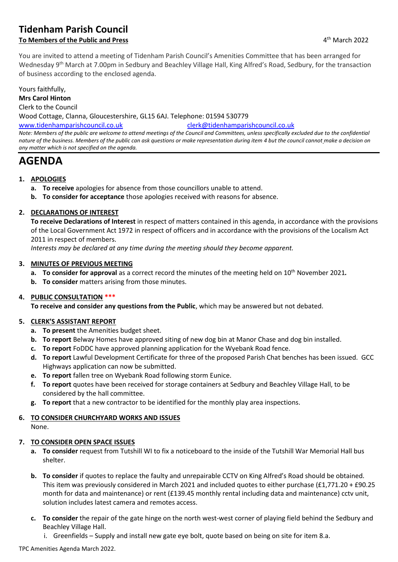# **Tidenham Parish Council**

## **To Members of the Public and Press**

You are invited to attend a meeting of Tidenham Parish Council's Amenities Committee that has been arranged for Wednesday 9<sup>th</sup> March at 7.00pm in Sedbury and Beachley Village Hall, King Alfred's Road, Sedbury, for the transaction of business according to the enclosed agenda.

Yours faithfully,

**Mrs Carol Hinton**

Clerk to the Council

Wood Cottage, Clanna, Gloucestershire, GL15 6AJ. Telephone: 01594 530779

[www.tidenhamparishcouncil.co.uk](http://www.tidenhamparishcouncil.co.uk/) [clerk@tidenhamparishcouncil.co.uk](mailto:clerk@tidenhamparishcouncil.co.uk)

*Note: Members of the public are welcome to attend meetings of the Council and Committees, unless specifically excluded due to the confidential nature of the business. Members of the public can ask questions or make representation during item 4 but the council cannot make a decision on any matter which is not specified on the agenda.*

# **AGENDA**

#### **1. APOLOGIES**

- **a. To receive** apologies for absence from those councillors unable to attend.
- **b. To consider for acceptance** those apologies received with reasons for absence.

#### **2. DECLARATIONS OF INTEREST**

**To receive Declarations of Interest** in respect of matters contained in this agenda, in accordance with the provisions of the Local Government Act 1972 in respect of officers and in accordance with the provisions of the Localism Act 2011 in respect of members.

*Interests may be declared at any time during the meeting should they become apparent.*

#### **3. MINUTES OF PREVIOUS MEETING**

- **a. To consider for approval** as a correct record the minutes of the meeting held on 10<sup>th</sup> November 2021.
- **b. To consider** matters arising from those minutes.

#### **4. PUBLIC CONSULTATION \*\*\***

**To receive and consider any questions from the Public**, which may be answered but not debated.

#### **5. CLERK'S ASSISTANT REPORT**

- **a. To present** the Amenities budget sheet.
- **b. To report** Belway Homes have approved siting of new dog bin at Manor Chase and dog bin installed.
- **c. To report** FoDDC have approved planning application for the Wyebank Road fence.
- **d. To report** Lawful Development Certificate for three of the proposed Parish Chat benches has been issued. GCC Highways application can now be submitted.
- **e. To report** fallen tree on Wyebank Road following storm Eunice.
- **f. To report** quotes have been received for storage containers at Sedbury and Beachley Village Hall, to be considered by the hall committee.
- **g. To report** that a new contractor to be identified for the monthly play area inspections.

# **6. TO CONSIDER CHURCHYARD WORKS AND ISSUES**

None.

#### **7. TO CONSIDER OPEN SPACE ISSUES**

- **a. To consider** request from Tutshill WI to fix a noticeboard to the inside of the Tutshill War Memorial Hall bus shelter.
- **b. To consider** if quotes to replace the faulty and unrepairable CCTV on King Alfred's Road should be obtained. This item was previously considered in March 2021 and included quotes to either purchase (£1,771.20 + £90.25 month for data and maintenance) or rent (£139.45 monthly rental including data and maintenance) cctv unit, solution includes latest camera and remotes access.
- **c. To consider** the repair of the gate hinge on the north west-west corner of playing field behind the Sedbury and Beachley Village Hall.
	- i. Greenfields Supply and install new gate eye bolt, quote based on being on site for item 8.a.